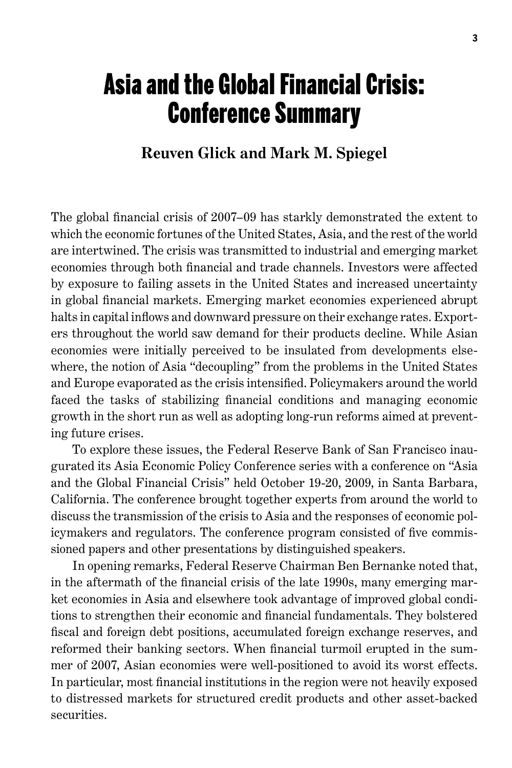## Asia and the Global Financial Crisis: Conference Summary

## **Reuven Glick and Mark M. Spiegel**

The global financial crisis of 2007–09 has starkly demonstrated the extent to which the economic fortunes of the United States, Asia, and the rest of the world are intertwined. The crisis was transmitted to industrial and emerging market economies through both financial and trade channels. Investors were affected by exposure to failing assets in the United States and increased uncertainty in global financial markets. Emerging market economies experienced abrupt halts in capital inflows and downward pressure on their exchange rates. Exporters throughout the world saw demand for their products decline. While Asian economies were initially perceived to be insulated from developments elsewhere, the notion of Asia "decoupling" from the problems in the United States and Europe evaporated as the crisis intensified. Policymakers around the world faced the tasks of stabilizing financial conditions and managing economic growth in the short run as well as adopting long-run reforms aimed at preventing future crises.

To explore these issues, the Federal Reserve Bank of San Francisco inaugurated its Asia Economic Policy Conference series with a conference on "Asia and the Global Financial Crisis" held October 19-20, 2009, in Santa Barbara, California. The conference brought together experts from around the world to discuss the transmission of the crisis to Asia and the responses of economic policymakers and regulators. The conference program consisted of five commissioned papers and other presentations by distinguished speakers.

In opening remarks, Federal Reserve Chairman Ben Bernanke noted that, in the aftermath of the financial crisis of the late 1990s, many emerging market economies in Asia and elsewhere took advantage of improved global conditions to strengthen their economic and financial fundamentals. They bolstered fiscal and foreign debt positions, accumulated foreign exchange reserves, and reformed their banking sectors. When financial turmoil erupted in the summer of 2007, Asian economies were well-positioned to avoid its worst effects. In particular, most financial institutions in the region were not heavily exposed to distressed markets for structured credit products and other asset-backed securities.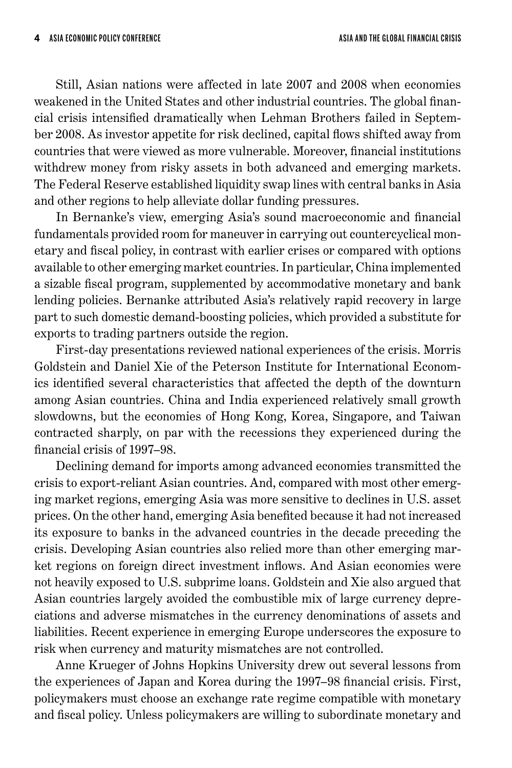Still, Asian nations were affected in late 2007 and 2008 when economies weakened in the United States and other industrial countries. The global financial crisis intensified dramatically when Lehman Brothers failed in September 2008. As investor appetite for risk declined, capital flows shifted away from countries that were viewed as more vulnerable. Moreover, financial institutions withdrew money from risky assets in both advanced and emerging markets. The Federal Reserve established liquidity swap lines with central banks in Asia and other regions to help alleviate dollar funding pressures.

In Bernanke's view, emerging Asia's sound macroeconomic and financial fundamentals provided room for maneuver in carrying out countercyclical monetary and fiscal policy, in contrast with earlier crises or compared with options available to other emerging market countries. In particular, China implemented a sizable fiscal program, supplemented by accommodative monetary and bank lending policies. Bernanke attributed Asia's relatively rapid recovery in large part to such domestic demand-boosting policies, which provided a substitute for exports to trading partners outside the region.

First-day presentations reviewed national experiences of the crisis. Morris Goldstein and Daniel Xie of the Peterson Institute for International Economics identified several characteristics that affected the depth of the downturn among Asian countries. China and India experienced relatively small growth slowdowns, but the economies of Hong Kong, Korea, Singapore, and Taiwan contracted sharply, on par with the recessions they experienced during the financial crisis of 1997–98.

Declining demand for imports among advanced economies transmitted the crisis to export-reliant Asian countries. And, compared with most other emerging market regions, emerging Asia was more sensitive to declines in U.S. asset prices. On the other hand, emerging Asia benefited because it had not increased its exposure to banks in the advanced countries in the decade preceding the crisis. Developing Asian countries also relied more than other emerging market regions on foreign direct investment inflows. And Asian economies were not heavily exposed to U.S. subprime loans. Goldstein and Xie also argued that Asian countries largely avoided the combustible mix of large currency depreciations and adverse mismatches in the currency denominations of assets and liabilities. Recent experience in emerging Europe underscores the exposure to risk when currency and maturity mismatches are not controlled.

Anne Krueger of Johns Hopkins University drew out several lessons from the experiences of Japan and Korea during the 1997–98 financial crisis. First, policymakers must choose an exchange rate regime compatible with monetary and fiscal policy. Unless policymakers are willing to subordinate monetary and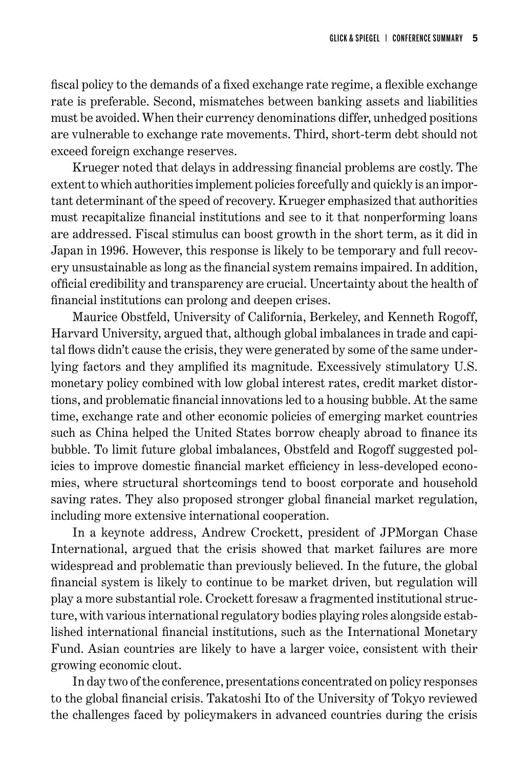fiscal policy to the demands of a fixed exchange rate regime, a flexible exchange rate is preferable. Second, mismatches between banking assets and liabilities must be avoided. When their currency denominations differ, unhedged positions are vulnerable to exchange rate movements. Third, short-term debt should not exceed foreign exchange reserves.

Krueger noted that delays in addressing financial problems are costly. The extent to which authorities implement policies forcefully and quickly is an important determinant of the speed of recovery. Krueger emphasized that authorities must recapitalize financial institutions and see to it that nonperforming loans are addressed. Fiscal stimulus can boost growth in the short term, as it did in Japan in 1996. However, this response is likely to be temporary and full recovery unsustainable as long as the financial system remains impaired. In addition, official credibility and transparency are crucial. Uncertainty about the health of financial institutions can prolong and deepen crises.

Maurice Obstfeld, University of California, Berkeley, and Kenneth Rogoff, Harvard University, argued that, although global imbalances in trade and capital flows didn't cause the crisis, they were generated by some of the same underlying factors and they amplified its magnitude. Excessively stimulatory U.S. monetary policy combined with low global interest rates, credit market distortions, and problematic financial innovations led to a housing bubble. At the same time, exchange rate and other economic policies of emerging market countries such as China helped the United States borrow cheaply abroad to finance its bubble. To limit future global imbalances, Obstfeld and Rogoff suggested policies to improve domestic financial market efficiency in less-developed economies, where structural shortcomings tend to boost corporate and household saving rates. They also proposed stronger global financial market regulation, including more extensive international cooperation.

In a keynote address, Andrew Crockett, president of JPMorgan Chase International, argued that the crisis showed that market failures are more widespread and problematic than previously believed. In the future, the global financial system is likely to continue to be market driven, but regulation will play a more substantial role. Crockett foresaw a fragmented institutional structure, with various international regulatory bodies playing roles alongside established international financial institutions, such as the International Monetary Fund. Asian countries are likely to have a larger voice, consistent with their growing economic clout.

In day two of the conference, presentations concentrated on policy responses to the global financial crisis. Takatoshi Ito of the University of Tokyo reviewed the challenges faced by policymakers in advanced countries during the crisis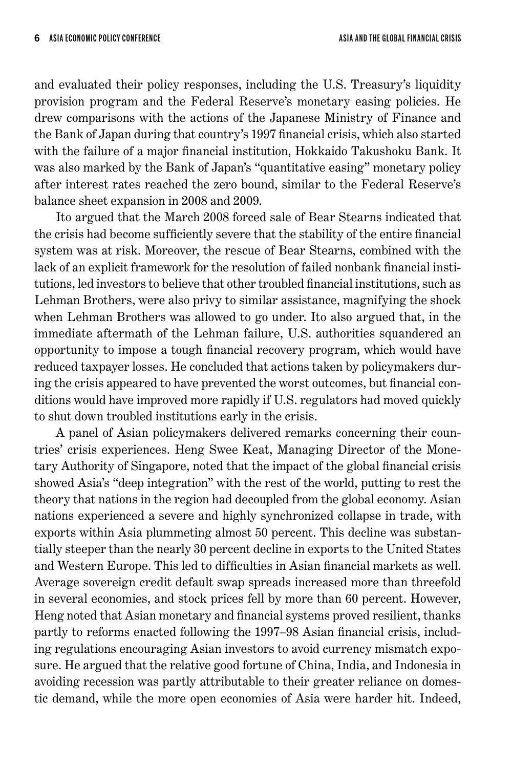and evaluated their policy responses, including the U.S. Treasury's liquidity provision program and the Federal Reserve's monetary easing policies. He drew comparisons with the actions of the Japanese Ministry of Finance and the Bank of Japan during that country's 1997 financial crisis, which also started with the failure of a major financial institution, Hokkaido Takushoku Bank. It was also marked by the Bank of Japan's "quantitative easing" monetary policy after interest rates reached the zero bound, similar to the Federal Reserve's balance sheet expansion in 2008 and 2009.

Ito argued that the March 2008 forced sale of Bear Stearns indicated that the crisis had become sufficiently severe that the stability of the entire financial system was at risk. Moreover, the rescue of Bear Stearns, combined with the lack of an explicit framework for the resolution of failed nonbank financial institutions, led investors to believe that other troubled financial institutions, such as Lehman Brothers, were also privy to similar assistance, magnifying the shock when Lehman Brothers was allowed to go under. Ito also argued that, in the immediate aftermath of the Lehman failure, U.S. authorities squandered an opportunity to impose a tough financial recovery program, which would have reduced taxpayer losses. He concluded that actions taken by policymakers during the crisis appeared to have prevented the worst outcomes, but financial conditions would have improved more rapidly if U.S. regulators had moved quickly to shut down troubled institutions early in the crisis.

A panel of Asian policymakers delivered remarks concerning their countries' crisis experiences. Heng Swee Keat, Managing Director of the Monetary Authority of Singapore, noted that the impact of the global financial crisis showed Asia's "deep integration" with the rest of the world, putting to rest the theory that nations in the region had decoupled from the global economy. Asian nations experienced a severe and highly synchronized collapse in trade, with exports within Asia plummeting almost 50 percent. This decline was substantially steeper than the nearly 30 percent decline in exports to the United States and Western Europe. This led to difficulties in Asian financial markets as well. Average sovereign credit default swap spreads increased more than threefold in several economies, and stock prices fell by more than 60 percent. However, Heng noted that Asian monetary and financial systems proved resilient, thanks partly to reforms enacted following the 1997–98 Asian financial crisis, including regulations encouraging Asian investors to avoid currency mismatch exposure. He argued that the relative good fortune of China, India, and Indonesia in avoiding recession was partly attributable to their greater reliance on domestic demand, while the more open economies of Asia were harder hit. Indeed,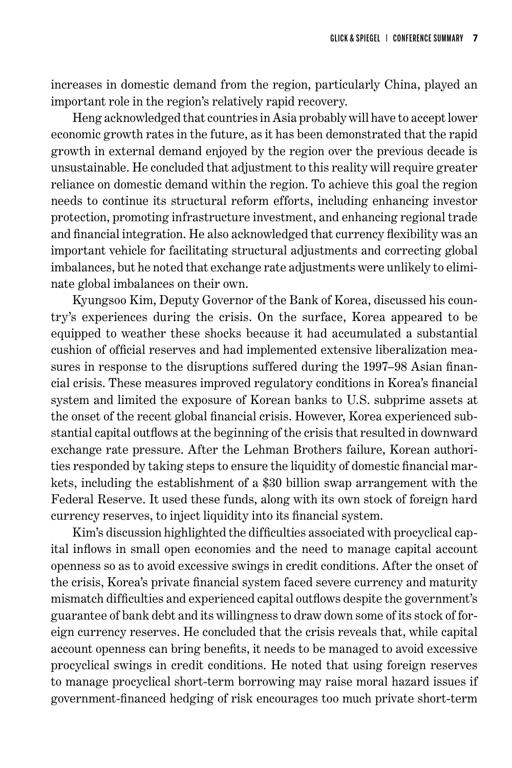increases in domestic demand from the region, particularly China, played an important role in the region's relatively rapid recovery.

Heng acknowledged that countries in Asia probably will have to accept lower economic growth rates in the future, as it has been demonstrated that the rapid growth in external demand enjoyed by the region over the previous decade is unsustainable. He concluded that adjustment to this reality will require greater reliance on domestic demand within the region. To achieve this goal the region needs to continue its structural reform efforts, including enhancing investor protection, promoting infrastructure investment, and enhancing regional trade and financial integration. He also acknowledged that currency flexibility was an important vehicle for facilitating structural adjustments and correcting global imbalances, but he noted that exchange rate adjustments were unlikely to eliminate global imbalances on their own.

Kyungsoo Kim, Deputy Governor of the Bank of Korea, discussed his country's experiences during the crisis. On the surface, Korea appeared to be equipped to weather these shocks because it had accumulated a substantial cushion of official reserves and had implemented extensive liberalization measures in response to the disruptions suffered during the 1997–98 Asian financial crisis. These measures improved regulatory conditions in Korea's financial system and limited the exposure of Korean banks to U.S. subprime assets at the onset of the recent global financial crisis. However, Korea experienced substantial capital outflows at the beginning of the crisis that resulted in downward exchange rate pressure. After the Lehman Brothers failure, Korean authorities responded by taking steps to ensure the liquidity of domestic financial markets, including the establishment of a \$30 billion swap arrangement with the Federal Reserve. It used these funds, along with its own stock of foreign hard currency reserves, to inject liquidity into its financial system.

Kim's discussion highlighted the difficulties associated with procyclical capital inflows in small open economies and the need to manage capital account openness so as to avoid excessive swings in credit conditions. After the onset of the crisis, Korea's private financial system faced severe currency and maturity mismatch difficulties and experienced capital outflows despite the government's guarantee of bank debt and its willingness to draw down some of its stock of foreign currency reserves. He concluded that the crisis reveals that, while capital account openness can bring benefits, it needs to be managed to avoid excessive procyclical swings in credit conditions. He noted that using foreign reserves to manage procyclical short-term borrowing may raise moral hazard issues if government-financed hedging of risk encourages too much private short-term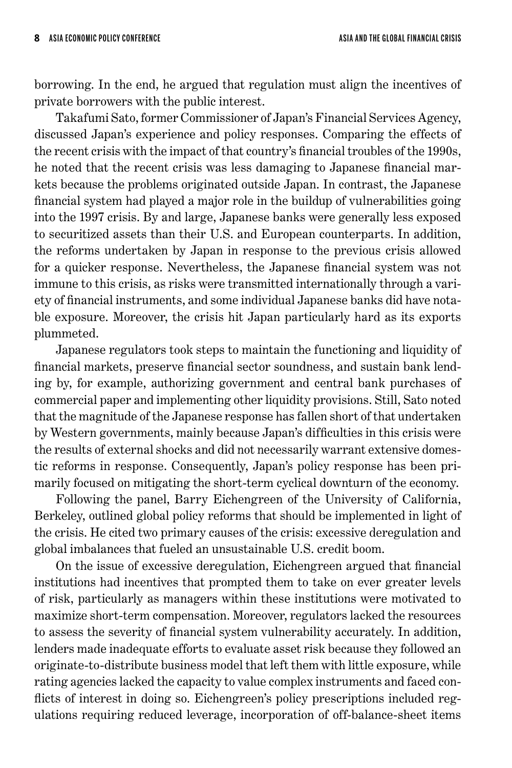borrowing. In the end, he argued that regulation must align the incentives of private borrowers with the public interest.

Takafumi Sato, former Commissioner of Japan's Financial Services Agency, discussed Japan's experience and policy responses. Comparing the effects of the recent crisis with the impact of that country's financial troubles of the 1990s, he noted that the recent crisis was less damaging to Japanese financial markets because the problems originated outside Japan. In contrast, the Japanese financial system had played a major role in the buildup of vulnerabilities going into the 1997 crisis. By and large, Japanese banks were generally less exposed to securitized assets than their U.S. and European counterparts. In addition, the reforms undertaken by Japan in response to the previous crisis allowed for a quicker response. Nevertheless, the Japanese financial system was not immune to this crisis, as risks were transmitted internationally through a variety of financial instruments, and some individual Japanese banks did have notable exposure. Moreover, the crisis hit Japan particularly hard as its exports plummeted.

Japanese regulators took steps to maintain the functioning and liquidity of financial markets, preserve financial sector soundness, and sustain bank lending by, for example, authorizing government and central bank purchases of commercial paper and implementing other liquidity provisions. Still, Sato noted that the magnitude of the Japanese response has fallen short of that undertaken by Western governments, mainly because Japan's difficulties in this crisis were the results of external shocks and did not necessarily warrant extensive domestic reforms in response. Consequently, Japan's policy response has been primarily focused on mitigating the short-term cyclical downturn of the economy.

Following the panel, Barry Eichengreen of the University of California, Berkeley, outlined global policy reforms that should be implemented in light of the crisis. He cited two primary causes of the crisis: excessive deregulation and global imbalances that fueled an unsustainable U.S. credit boom.

On the issue of excessive deregulation, Eichengreen argued that financial institutions had incentives that prompted them to take on ever greater levels of risk, particularly as managers within these institutions were motivated to maximize short-term compensation. Moreover, regulators lacked the resources to assess the severity of financial system vulnerability accurately. In addition, lenders made inadequate efforts to evaluate asset risk because they followed an originate-to-distribute business model that left them with little exposure, while rating agencies lacked the capacity to value complex instruments and faced conflicts of interest in doing so. Eichengreen's policy prescriptions included regulations requiring reduced leverage, incorporation of off-balance-sheet items